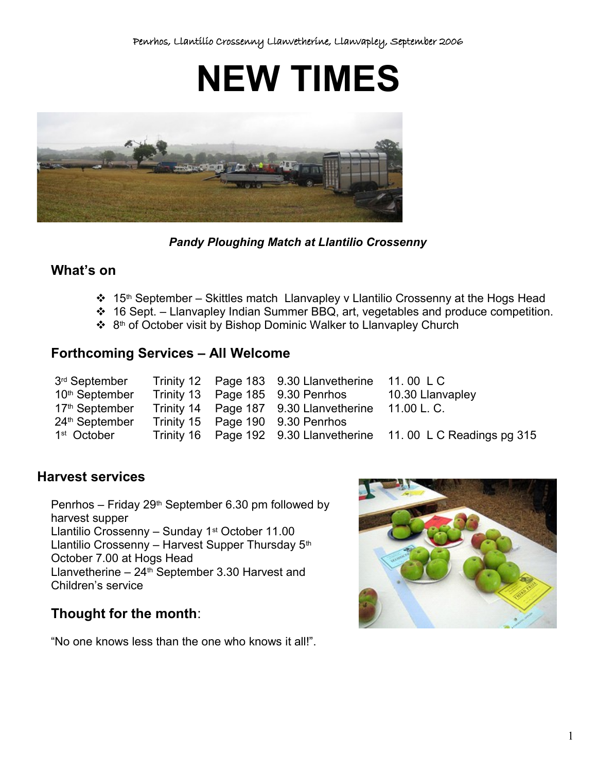**NEW TIMES**



*Pandy Ploughing Match at Llantilio Crossenny*

# **What's on**

- $\div$  15<sup>th</sup> September Skittles match Llanvapley v Llantilio Crossenny at the Hogs Head
- $\div$  16 Sept. Llanvapley Indian Summer BBQ, art, vegetables and produce competition.
- ❖ 8<sup>th</sup> of October visit by Bishop Dominic Walker to Llanvapley Church

## **Forthcoming Services – All Welcome**

| 3 <sup>rd</sup> September  |  | Trinity 12 Page 183 9.30 Llanvetherine 11.00 LC    |                                                                  |
|----------------------------|--|----------------------------------------------------|------------------------------------------------------------------|
| 10 <sup>th</sup> September |  | Trinity 13 Page 185 9.30 Penrhos                   | 10.30 Llanvapley                                                 |
| 17 <sup>th</sup> September |  | Trinity 14 Page 187 9.30 Llanvetherine 11.00 L. C. |                                                                  |
| 24 <sup>th</sup> September |  | Trinity 15 Page 190 9.30 Penrhos                   |                                                                  |
| 1 <sup>st</sup> October    |  |                                                    | Trinity 16 Page 192 9.30 Llanvetherine 11.00 L C Readings pg 315 |

## **Harvest services**

Penrhos – Friday 29<sup>th</sup> September 6.30 pm followed by harvest supper Llantilio Crossenny - Sunday 1<sup>st</sup> October 11.00 Llantilio Crossenny – Harvest Supper Thursday  $5<sup>th</sup>$ October 7.00 at Hogs Head Llanvetherine  $-24$ <sup>th</sup> September 3.30 Harvest and Children's service

# **Thought for the month**:

"No one knows less than the one who knows it all!".

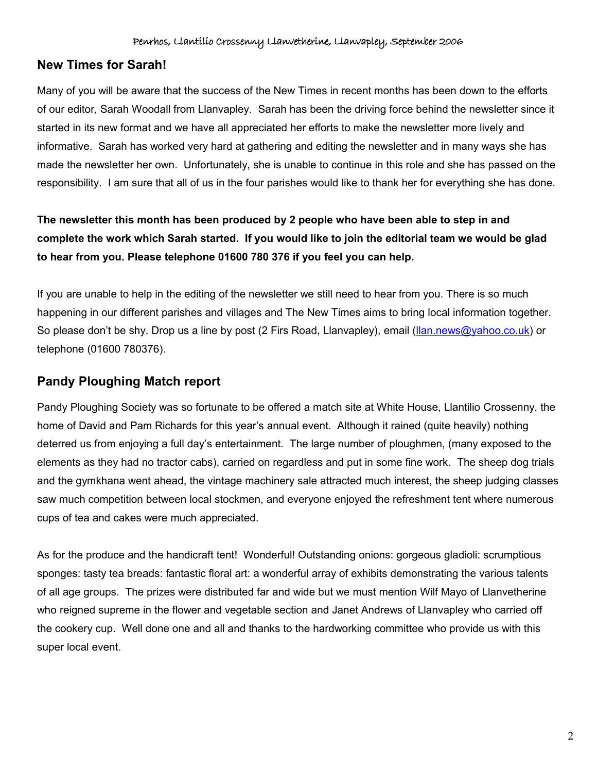#### **New Times for Sarah!**

Many of you will be aware that the success of the New Times in recent months has been down to the efforts of our editor, Sarah Woodall from Llanvapley. Sarah has been the driving force behind the newsletter since it started in its new format and we have all appreciated her efforts to make the newsletter more lively and informative. Sarah has worked very hard at gathering and editing the newsletter and in many ways she has made the newsletter her own. Unfortunately, she is unable to continue in this role and she has passed on the responsibility. I am sure that all of us in the four parishes would like to thank her for everything she has done.

## **The newsletter this month has been produced by 2 people who have been able to step in and complete the work which Sarah started. If you would like to join the editorial team we would be glad to hear from you. Please telephone 01600 780 376 if you feel you can help.**

If you are unable to help in the editing of the newsletter we still need to hear from you. There is so much happening in our different parishes and villages and The New Times aims to bring local information together. So please don't be shy. Drop us a line by post (2 Firs Road, Llanvapley), email [\(llan.news@yahoo.co.uk\)](mailto:llan.news@yahoo.co.uk) or telephone (01600 780376).

## **Pandy Ploughing Match report**

Pandy Ploughing Society was so fortunate to be offered a match site at White House, Llantilio Crossenny, the home of David and Pam Richards for this year's annual event. Although it rained (quite heavily) nothing deterred us from enjoying a full day's entertainment. The large number of ploughmen, (many exposed to the elements as they had no tractor cabs), carried on regardless and put in some fine work. The sheep dog trials and the gymkhana went ahead, the vintage machinery sale attracted much interest, the sheep judging classes saw much competition between local stockmen, and everyone enjoyed the refreshment tent where numerous cups of tea and cakes were much appreciated.

As for the produce and the handicraft tent! Wonderful! Outstanding onions: gorgeous gladioli: scrumptious sponges: tasty tea breads: fantastic floral art: a wonderful array of exhibits demonstrating the various talents of all age groups. The prizes were distributed far and wide but we must mention Wilf Mayo of Llanvetherine who reigned supreme in the flower and vegetable section and Janet Andrews of Llanvapley who carried off the cookery cup. Well done one and all and thanks to the hardworking committee who provide us with this super local event.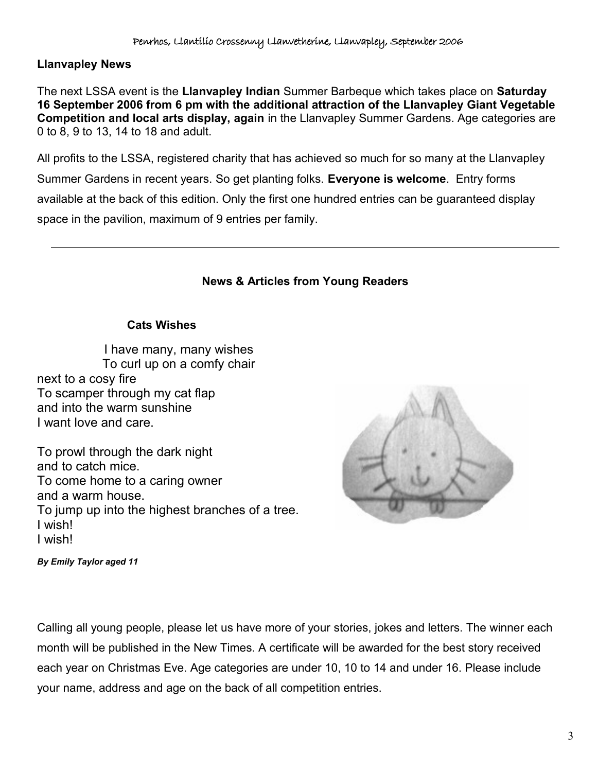## **Llanvapley News**

The next LSSA event is the **Llanvapley Indian** Summer Barbeque which takes place on **Saturday 16 September 2006 from 6 pm with the additional attraction of the Llanvapley Giant Vegetable Competition and local arts display, again** in the Llanvapley Summer Gardens. Age categories are 0 to 8, 9 to 13, 14 to 18 and adult.

All profits to the LSSA, registered charity that has achieved so much for so many at the Llanvapley Summer Gardens in recent years. So get planting folks. **Everyone is welcome**. Entry forms available at the back of this edition. Only the first one hundred entries can be guaranteed display space in the pavilion, maximum of 9 entries per family.

#### **News & Articles from Young Readers**

#### **Cats Wishes**

I have many, many wishes To curl up on a comfy chair next to a cosy fire To scamper through my cat flap and into the warm sunshine I want love and care.

To prowl through the dark night and to catch mice. To come home to a caring owner and a warm house. To jump up into the highest branches of a tree. I wish! I wish!



*By Emily Taylor aged 11*

Calling all young people, please let us have more of your stories, jokes and letters. The winner each month will be published in the New Times. A certificate will be awarded for the best story received each year on Christmas Eve. Age categories are under 10, 10 to 14 and under 16. Please include your name, address and age on the back of all competition entries.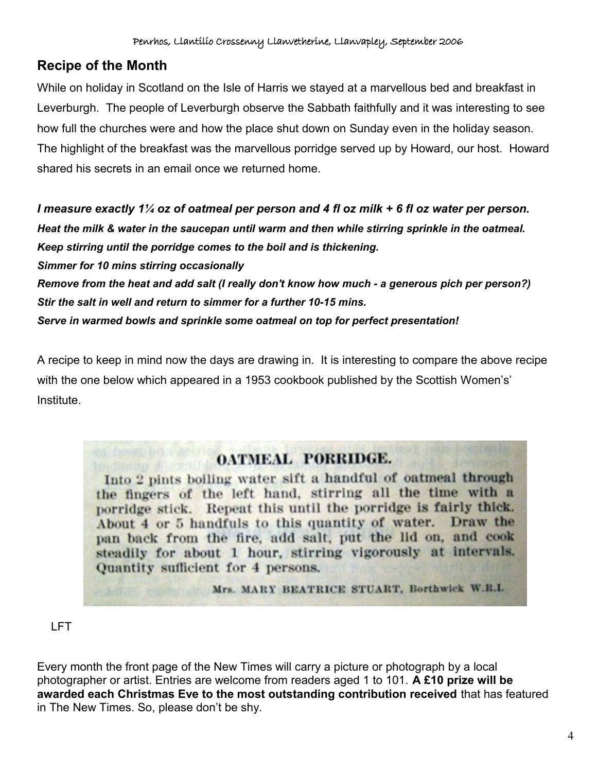# **Recipe of the Month**

While on holiday in Scotland on the Isle of Harris we stayed at a marvellous bed and breakfast in Leverburgh. The people of Leverburgh observe the Sabbath faithfully and it was interesting to see how full the churches were and how the place shut down on Sunday even in the holiday season. The highlight of the breakfast was the marvellous porridge served up by Howard, our host. Howard shared his secrets in an email once we returned home.

*I measure exactly 1¼ oz of oatmeal per person and 4 fl oz milk + 6 fl oz water per person. Heat the milk & water in the saucepan until warm and then while stirring sprinkle in the oatmeal. Keep stirring until the porridge comes to the boil and is thickening. Simmer for 10 mins stirring occasionally Remove from the heat and add salt (I really don't know how much - a generous pich per person?) Stir the salt in well and return to simmer for a further 10-15 mins. Serve in warmed bowls and sprinkle some oatmeal on top for perfect presentation!*

A recipe to keep in mind now the days are drawing in. It is interesting to compare the above recipe with the one below which appeared in a 1953 cookbook published by the Scottish Women's' Institute.

# OATMEAL PORRIDGE.

Into 2 pints boiling water sift a handful of oatmeal through the fingers of the left hand, stirring all the time with a porridge stick. Repeat this until the porridge is fairly thick. About 4 or 5 handfuls to this quantity of water. Draw the pan back from the fire, add salt, put the lid on, and cook steadily for about 1 hour, stirring vigorously at intervals. Quantity sufficient for 4 persons.

Mrs. MARY BEATRICE STUART, Borthwick W.R.L.

## LFT

Every month the front page of the New Times will carry a picture or photograph by a local photographer or artist. Entries are welcome from readers aged 1 to 101. **A £10 prize will be awarded each Christmas Eve to the most outstanding contribution received** that has featured in The New Times. So, please don't be shy.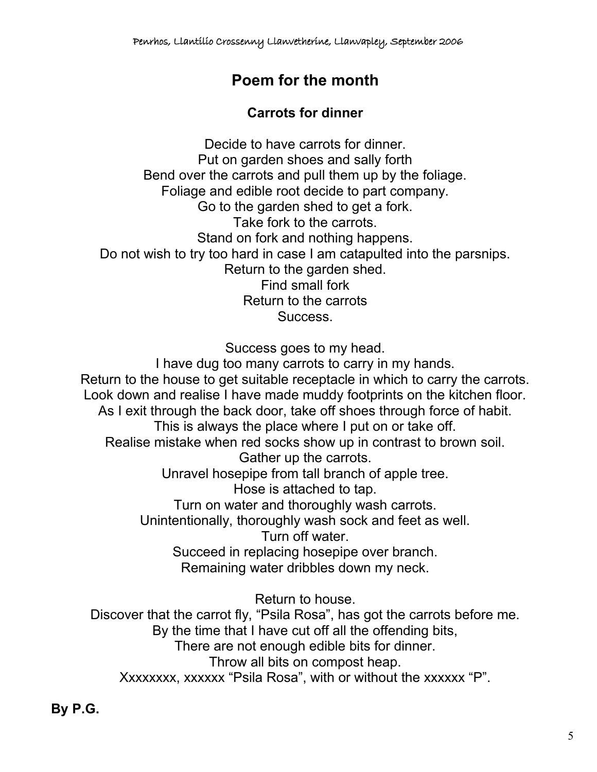# **Poem for the month**

# **Carrots for dinner**

Decide to have carrots for dinner. Put on garden shoes and sally forth Bend over the carrots and pull them up by the foliage. Foliage and edible root decide to part company. Go to the garden shed to get a fork. Take fork to the carrots. Stand on fork and nothing happens. Do not wish to try too hard in case I am catapulted into the parsnips. Return to the garden shed. Find small fork Return to the carrots Success.

Success goes to my head.

I have dug too many carrots to carry in my hands. Return to the house to get suitable receptacle in which to carry the carrots. Look down and realise I have made muddy footprints on the kitchen floor. As I exit through the back door, take off shoes through force of habit. This is always the place where I put on or take off. Realise mistake when red socks show up in contrast to brown soil. Gather up the carrots. Unravel hosepipe from tall branch of apple tree. Hose is attached to tap. Turn on water and thoroughly wash carrots. Unintentionally, thoroughly wash sock and feet as well. Turn off water. Succeed in replacing hosepipe over branch. Remaining water dribbles down my neck.

Return to house. Discover that the carrot fly, "Psila Rosa", has got the carrots before me. By the time that I have cut off all the offending bits, There are not enough edible bits for dinner. Throw all bits on compost heap. Xxxxxxxx, xxxxxx "Psila Rosa", with or without the xxxxxx "P".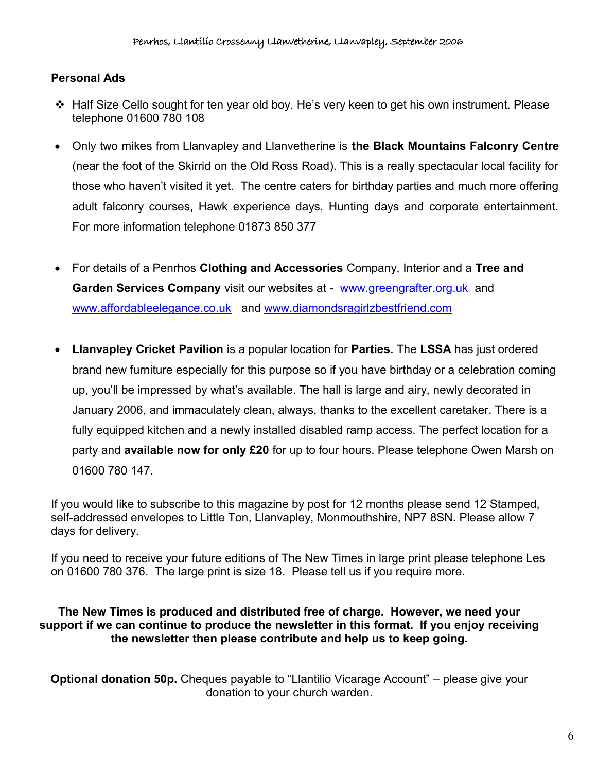## **Personal Ads**

- Half Size Cello sought for ten year old boy. He's very keen to get his own instrument. Please telephone 01600 780 108
- Only two mikes from Llanvapley and Llanvetherine is **the Black Mountains Falconry Centre** (near the foot of the Skirrid on the Old Ross Road). This is a really spectacular local facility for those who haven't visited it yet. The centre caters for birthday parties and much more offering adult falconry courses, Hawk experience days, Hunting days and corporate entertainment. For more information telephone 01873 850 377
- For details of a Penrhos **Clothing and Accessories** Company, Interior and a **Tree and Garden Services Company** visit our websites at - [www.greengrafter.org.uk](http://www.greengrafter.org.uk/) and [www.affordableelegance.co.uk](http://www.affordableelegance.co.uk/) and [www.diamondsragirlzbestfriend.com](http://www.diamondsragirlzbestfriend.com/)
- **Llanvapley Cricket Pavilion** is a popular location for **Parties.** The **LSSA** has just ordered brand new furniture especially for this purpose so if you have birthday or a celebration coming up, you'll be impressed by what's available. The hall is large and airy, newly decorated in January 2006, and immaculately clean, always, thanks to the excellent caretaker. There is a fully equipped kitchen and a newly installed disabled ramp access. The perfect location for a party and **available now for only £20** for up to four hours. Please telephone Owen Marsh on 01600 780 147.

If you would like to subscribe to this magazine by post for 12 months please send 12 Stamped, self-addressed envelopes to Little Ton, Llanvapley, Monmouthshire, NP7 8SN. Please allow 7 days for delivery.

If you need to receive your future editions of The New Times in large print please telephone Les on 01600 780 376. The large print is size 18. Please tell us if you require more.

#### **The New Times is produced and distributed free of charge. However, we need your support if we can continue to produce the newsletter in this format. If you enjoy receiving the newsletter then please contribute and help us to keep going.**

**Optional donation 50p.** Cheques payable to "Llantilio Vicarage Account" – please give your donation to your church warden.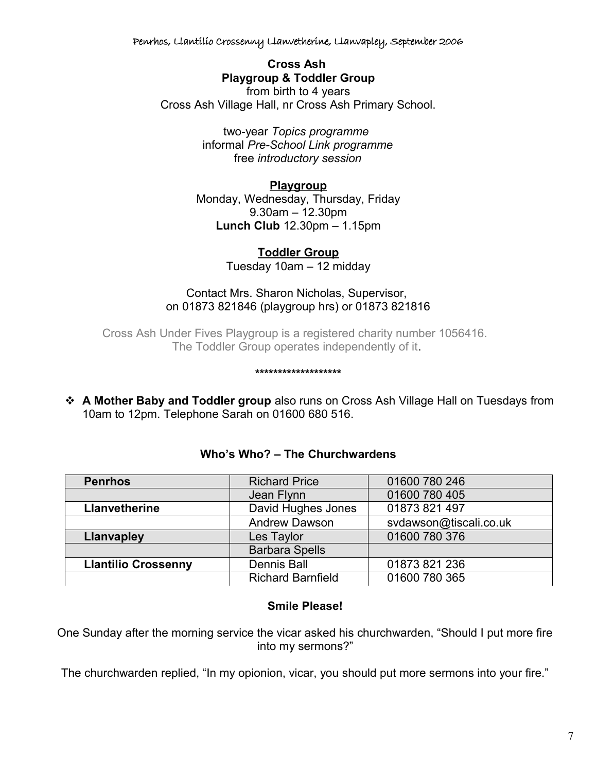Penrhos, Llantilio Crossenny Llanvetherine, Llanvapley, September 2006

**Cross Ash Playgroup & Toddler Group** from birth to 4 years Cross Ash Village Hall, nr Cross Ash Primary School.

> two-year *Topics programme*  informal *Pre-School Link programme* free *introductory session*

#### **Playgroup**

Monday, Wednesday, Thursday, Friday 9.30am – 12.30pm **Lunch Club** 12.30pm – 1.15pm

**Toddler Group**

Tuesday 10am – 12 midday

#### Contact Mrs. Sharon Nicholas, Supervisor, on 01873 821846 (playgroup hrs) or 01873 821816

Cross Ash Under Fives Playgroup is a registered charity number 1056416. The Toddler Group operates independently of it.

**\*\*\*\*\*\*\*\*\*\*\*\*\*\*\*\*\*\*\***

 **A Mother Baby and Toddler group** also runs on Cross Ash Village Hall on Tuesdays from 10am to 12pm. Telephone Sarah on 01600 680 516.

| <b>Penrhos</b>             | <b>Richard Price</b>     | 01600 780 246          |
|----------------------------|--------------------------|------------------------|
|                            | Jean Flynn               | 01600 780 405          |
| Llanvetherine              | David Hughes Jones       | 01873 821 497          |
|                            | <b>Andrew Dawson</b>     | svdawson@tiscali.co.uk |
| Llanvapley                 | Les Taylor               | 01600 780 376          |
|                            | <b>Barbara Spells</b>    |                        |
| <b>Llantilio Crossenny</b> | <b>Dennis Ball</b>       | 01873 821 236          |
|                            | <b>Richard Barnfield</b> | 01600 780 365          |

#### **Who's Who? – The Churchwardens**

#### **Smile Please!**

One Sunday after the morning service the vicar asked his churchwarden, "Should I put more fire into my sermons?"

The churchwarden replied, "In my opionion, vicar, you should put more sermons into your fire."